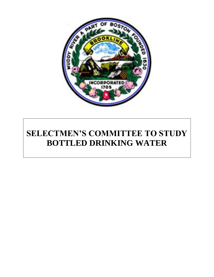

# **SELECTMEN'S COMMITTEE TO STUDY BOTTLED DRINKING WATER**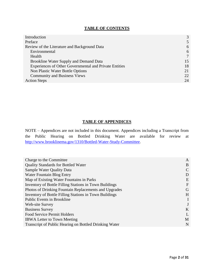# **TABLE OF CONTENTS**

| Introduction                                                  | 3  |
|---------------------------------------------------------------|----|
| Preface                                                       | 5  |
| Review of the Literature and Background Data                  | 6  |
| Environmental                                                 | 6  |
| Health                                                        |    |
| Brookline Water Supply and Demand Data                        | 15 |
| <b>Experiences of Other Governmental and Private Entities</b> | 18 |
| Non Plastic Water Bottle Options                              | 21 |
| <b>Community and Business Views</b>                           | 22 |
| <b>Action Steps</b>                                           | 24 |

# **TABLE OF APPENDICES**

NOTE – Appendices are not included in this document. Appendices including a Transcript from the Public Hearing on Bottled Drinking Water are available for review at [http://www.brooklinema.gov/1310/Bottled-Water-Study-Committee.](http://www.brooklinema.gov/1310/Bottled-Water-Study-Committee)

| Charge to the Committee                                | A           |
|--------------------------------------------------------|-------------|
| <b>Quality Standards for Bottled Water</b>             | B           |
| Sample Water Quality Data                              |             |
| Water Fountain Blog Entry                              | D           |
| Map of Existing Water Fountains in Parks               | E           |
| Inventory of Bottle Filling Stations in Town Buildings | $\mathbf F$ |
| Photos of Drinking Fountain Replacements and Upgrades  | G           |
| Inventory of Bottle Filling Stations in Town Buildings | H           |
| <b>Public Events in Brookline</b>                      |             |
| Web-site Survey                                        |             |
| <b>Business Survey</b>                                 | K           |
| <b>Food Service Permit Holders</b>                     |             |
| <b>IBWA Letter to Town Meeting</b>                     | M           |
| Transcript of Public Hearing on Bottled Drinking Water | N           |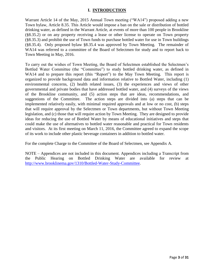## **I. INTRODUCTION**

Warrant Article 14 of the May, 2015 Annual Town meeting ("WA14") proposed adding a new Town bylaw, Article 8.35. This Article would impose a ban on the sale or distribution of bottled drinking water, as defined in the Warrant Article, at events of more than 100 people in Brookline (§8.35.2) or on any property receiving a lease or other license to operate on Town property (§8.35.3) and prohibit the use of Town funds to purchase bottled water for use in Town buildings (§8.35.4). Only proposed bylaw §8.35.4 was approved by Town Meeting. The remainder of WA14 was referred to a committee of the Board of Selectmen for study and to report back to Town Meeting in May, 2016.

To carry out the wishes of Town Meeting, the Board of Selectmen established the Selectmen's Bottled Water Committee (the "Committee") to study bottled drinking water, as defined in WA14 and to prepare this report (this "Report") to the May Town Meeting. This report is organized to provide background data and information relative to Bottled Water, including (1) environmental concerns, (2) health related issues, (3) the experiences and views of other governmental and private bodies that have addressed bottled water, and (4) surveys of the views of the Brookline community, and (5) action steps that are ideas, recommendations, and suggestions of the Committee. The action steps are divided into (a) steps that can be implemented relatively easily, with minimal required approvals and at low or no cost, (b) steps that will require approval by the Selectmen or Town departments, but without Town Meeting legislation, and (c) those that will require action by Town Meeting. They are designed to provide ideas for reducing the use of Bottled Water by means of educational initiatives and steps that could make the use of alternatives to bottled water reasonable and practical for Town residents and visitors. At its first meeting on March 11, 2016, the Committee agreed to expand the scope of its work to include other plastic beverage containers in addition to bottled water.

For the complete Charge to the Committee of the Board of Selectmen, see Appendix A.

NOTE – Appendices are not included in this document. Appendices including a Transcript from the Public Hearing on Bottled Drinking Water are available for review at [http://www.brooklinema.gov/1310/Bottled-Water-Study-Committee.](http://www.brooklinema.gov/1310/Bottled-Water-Study-Committee)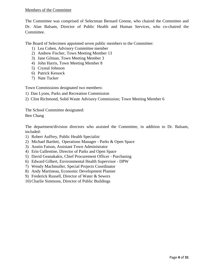## Members of the Committee

The Committee was comprised of Selectman Bernard Greene, who chaired the Committee and Dr. Alan Balsam, Director of Public Health and Human Services, who co-chaired the Committee.

The Board of Selectmen appointed seven public members to the Committee:

- 1) Lea Cohen, Advisory Committee member
- 2) Andrew Fischer, Town Meeting Member 13
- 3) Jane Gilman, Town Meeting Member 3
- 4) John Harris, Town Meeting Member 8
- 5) Crystal Johnson
- 6) Patrick Kessock
- 7) Nate Tucker

Town Commissions designated two members:

- 1) Dan Lyons, Parks and Recreation Commission
- 2) Clint Richmond, Solid Waste Advisory Commission; Town Meeting Member 6

The School Committee designated: Ben Chang

The department/division directors who assisted the Committee, in addition to Dr. Balsam, included:

- 1) Robert Auffrey, Public Health Specialist
- 2) Michael Bartlett, Operations Manager Parks & Open Space
- 3) Austin Faison, Assistant Town Administrator
- 4) Erin Gallentine, Director of Parks and Open Space
- 5) David Geanakakis, Chief Procurement Officer Purchasing
- 6) Edward Gilbert, Environmental Health Supervisor DPW
- 7) Wendy Machmuller, Special Projects Coordinator
- 8) Andy Martineau, Economic Development Planner
- 9) Frederick Russell, Director of Water & Sewers
- 10) Charlie Simmons, Director of Public Buildings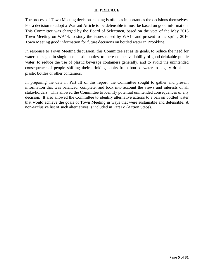## **II. PREFACE**

The process of Town Meeting decision-making is often as important as the decisions themselves. For a decision to adopt a Warrant Article to be defensible it must be based on good information. This Committee was charged by the Board of Selectmen, based on the vote of the May 2015 Town Meeting on WA14, to study the issues raised by WA14 and present to the spring 2016 Town Meeting good information for future decisions on bottled water in Brookline.

In response to Town Meeting discussion, this Committee set as its goals, to reduce the need for water packaged in single-use plastic bottles, to increase the availability of good drinkable public water, to reduce the use of plastic beverage containers generally, and to avoid the unintended consequence of people shifting their drinking habits from bottled water to sugary drinks in plastic bottles or other containers.

In preparing the data in Part III of this report, the Committee sought to gather and present information that was balanced, complete, and took into account the views and interests of all stake-holders. This allowed the Committee to identify potential unintended consequences of any decision. It also allowed the Committee to identify alternative actions to a ban on bottled water that would achieve the goals of Town Meeting in ways that were sustainable and defensible. A non-exclusive list of such alternatives is included in Part IV (Action Steps).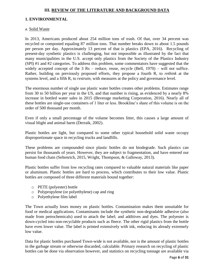## **III. REVIEW OF THE LITERATURE AND BACKGROUND DATA**

## **1. ENVIRONMENTAL**

#### a. Solid Waste

In 2013, Americans produced about 254 million tons of trash. Of that, over 34 percent was recycled or composted equaling 87 million tons. That number breaks down to about 1.5 pounds per person per day. Approximately 13 percent of that is plastics (EPA, 2016). Recycling of present-day synthetic plastics is challenging, but not impossible as illustrated by the fact that many municipalities in the U.S. accept only plastics from the Society of the Plastics Industry (SPI) #1 and #2 categories. To address this problem, some commentators have suggested that the widely accepted concept of the 3 Rs – reduce, reuse, recycle (Bell, 1970) – will not suffice. Rather, building on previously proposed efforts, they propose a fourth R, to *rethink* at the systems level, and a fifth R, to *restrain,* with measures at the policy and governance level.

The enormous number of single use plastic water bottles creates other problems. Estimates range from 30 to 50 billion per year in the US, and that number is rising, as evidenced by a nearly 8% increase in bottled water sales in 2015 (Beverage marketing Corporation, 2016). Nearly all of these bottles are single-use containers of 1 liter or less. Brookline's share of this volume is on the order of 500 thousand per month.

Even if only a small percentage of the volume becomes litter, this causes a large amount of visual blight and animal harm (Derraik, 2002).

Plastic bottles are light, but compared to some other typical household solid waste occupy disproportionate space in recycling trucks and landfills.

These problems are compounded since plastic bottles do not biodegrade. Such plastics can persist for thousands of years. However, they are subject to fragmentation, and have entered our human food chain (Seltenrich, 2015, Wright, Thompson, & Galloway, 2013).

Plastic bottles suffer from low recycling rates compared to valuable natural materials like paper or aluminum. Plastic bottles are hard to process, which contributes to their low value. Plastic bottles are composed of three different materials bound together:

- o PETE (polyester) bottle
- o Polypropylene (or polyethylene) cap and ring
- o Polyethylene film label

The Town actually loses money on plastic bottles. Contamination makes them unsuitable for food or medical applications. Contaminants include the synthetic non-degradable adhesive (also made from petrochemicals) used to attach the label; and additives and dyes. The polyester is down-cycled into non-recyclable products such as fleece. The other rigid plastics from the bottle have even lower value. The label is printed extensively with ink, reducing its already extremely low value.

Data for plastic bottles purchased Town-wide is not available, nor is the amount of plastic bottles in the garbage stream or otherwise discarded, calculable. Primary research on recycling of plastic bottles can be done via observation however, and statistics on recycling tonnage are available via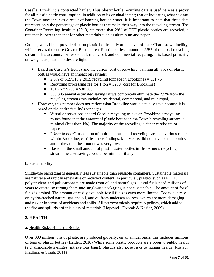Casella, Brookline's contracted hauler. Thus plastic bottle recycling data is used here as a proxy for all plastic bottle consumption, in addition to its original intent; that of indicating what savings the Town may incur as a result of banning bottled water. It is important to note that these data represent only the percentage of plastic bottles that make their way into the recycling stream. The Container Recycling Institute (2013) estimates that 29% of PET plastic bottles are recycled, a rate that is lower than that for other materials such as aluminum and paper.

Casella, was able to provide data on plastic bottles only at the level of their Charlestown facility, which serves the entire Greater Boston area: Plastic bottles amount to 2.5% of the total recycling stream. This accounts for residential, municipal, and commercial recycling. It is based primarily on weight, as plastic bottles are light.

- Based on Casella's figures and the current cost of recycling, banning all types of plastic bottles would have an impact on savings:
	- 2.5% of 5.271 (FY 2015 recycling tonnage in Brookline) =  $131.76$
	- Recycling processing fee for 1 ton  $= $230$  (cost for Brookline)
	- $131.76 \times $230 = $30,305$
	- **530,305 annual estimated savings if we completely eliminate the 2.5% from the** recycling stream (this includes residential, commercial, and municipal)
- However, this number does not reflect what Brookline would actually save because it is based on the entire facility's tonnages.
	- Visual observations aboard Casella recycling trucks on Brookline's recycling routes found that the amount of plastic bottles in the Town's recycling stream is minimal (less than 1%). The majority of the recycling is either cardboard or paper.
	- "Door to door" inspection of multiple household recycling carts, on various routes within Brookline, certifies these findings. Many carts did not have plastic bottles and if they did, the amount was very low.
	- Based on the small amount of plastic water bottles in Brookline's recycling stream, the cost savings would be minimal, if any.

# b. Sustainability

Single-use packaging is generally less sustainable than reusable containers. Sustainable materials are natural and rapidly renewable or recycled content. In particular, plastics such as PETE, polyethylene and polycarbonate are made from oil and natural gas. Fossil fuels need millions of years to create, so turning them into single-use packaging is not sustainable. The amount of fossil fuels is limited. The amount of easily available fossil fuels is even more limited. Today, we rely on hydro-fracked natural gas and oil, and oil from undersea sources, which are more damaging and riskier in terms of accidents and spills. All petrochemicals require pipelines, which add to the fire and spill risk of this class of materials (Hopewell, Dvorak & Kosior, 2009).

# **2. HEALTH**

# a. Health Risks of Plastic Bottles

Over 300 million tons of plastic are produced globally, on an annual basis; this includes millions of tons of plastic bottles (Halden, 2010) While some plastic products are a boon to public health (e.g. disposable syringes, intravenous bags), plastics also pose risks to human health (Rustagi, Pradhan, & Singh, 2011)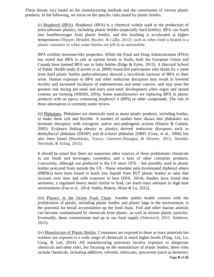These threats vary based on the manufacturing methods and the constituents of various plastic products. In the following, we focus on the specific risks posed by plastic bottles.

(i) Bisphenyl (BPA). Bisphenyl (BPA) is a chemical widely used in the production of polycarbonate plastics, including plastic bottles (especially hard bottles). BPA can leach into food/beverages from plastic bottles, and this leaching is accelerated at higher temperatures (Thayer, Heindel, Bucher, & Gallo, 2012), such as when food is heated in a plastic container or when water bottles are left in an automobile.

BPA exhibits hormone-like properties. While the Food and Drug Administration (FDA) has stated that BPA is safe at current levels in foods, both the European Union and Canada have banned BPA use in baby bottles (Edge & Eyles, 2013). A Harvard School of Public Health study (Carwile et al. 2009) found that participants who drank for a week from hard plastic bottles (polycarbonate) showed a two-thirds increase of BPA in their urine. Human exposure to BPA and other endocrine disruptors may result in lowered fertility and increased incidence of endometriosis and some cancers, and may pose the greatest risk during pre-natal and early post-natal development when organ and neural systems are forming (NIEHS, 2016). Some manufacturers are replacing BPA in plastic products with an epoxy containing bisphenyl S (BPS) or other compounds. The risk of these alternatives is currently under review.

(ii) Phthalates. Phthalates are chemicals used in many plastic products, including bottles, to make them soft and flexible. A number of studies have shown that phthalates are hormone disruptors with estrogenic and/or anti-androgenic actions (Hauser & Calafat, 2005). Evidence linking obesity to plastics derived endocrine disruptors such as diethylhexyl phthalate (DEHP) and di-n-butyl phthalate (DBP) (Gray, et al., 2000) has also been found (Manikkam, Tracey, Guerrero-Bosagna, & Skinner, 2013, Heindel, Newbold, & Schug, 2015).

It should be noted that there are numerous other sources of these problematic chemicals in our foods and beverages, cosmetics, and a host of other consumer products. Conversely, although not produced in the US since 1976 – but possibly used in plastic bottles procured from outside the US - flame retardant poly-brominated diphenyl ethers (PBDEs) have been found to leach into liquids from PET plastic bottles at rates that increase over time and with exposure to heat (EPA, 2014), Studies have found that antimony, a regulated heavy metal similar to lead, can leach trace amounts in high heat environments (Fan et al., 2014; Andra, Makris, Shine & Lu, 2012).

(iii) Plastics in the Ocean Food Chain. Another public health concern with the proliferation of plastic, including plastic bottles and plastic bags in the environment, is the potential for broad accumulation up the food chain. Fish and other marine animals can become contaminated by chemicals from plastic, as well as minute plastic particles. Eventually, these contaminants end up in our food supply (Seltenrich, 2015, Andrews, 2015).

(iv) Manufacture of Plastic Bottles. Consumers are exposed to these as trace materials but workers are exposed to a wide range of chemicals at much higher levels (Fong, Lee, Lu, Uang, & Lee, 2014). All manufacturing processes involve exposure to dangerous chemicals and other risks, but focusing on the manufacture of plastic bottles, these risks include chemicals, including additives, solvents, lubricants, precursors (such as benzene),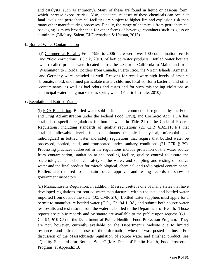and catalysts (such as antimony). Many of these are found in liquid or gaseous form, which increase exposure risk. Also, accidental releases of these chemicals can occur at fatal levels and petrochemical facilities are subject to higher fire and explosion risk than many other manufacturing processes. Finally, the range of chemicals from petrochemical packaging is much broader than for other forms of beverage containers such as glass or aluminum (ElMasry, Salem, El-Dermadash & Hassan, 2013).

## b. Bottled Water Contamination

(i) Commercial Recalls. From 1990 to 2006 there were over 100 contamination recalls and "field corrections" (Gleik, 2010) of bottled water products. Bottled water bottlers who recalled product were located across the US; from California to Maine and from Washington to Florida. Bottlers from Canada, Puerto Rico, the Virgin Islands, Armenia, and Germany were included as well. Reasons for recall were high levels of arsenic, bromate, mold, undefined particulate matter, chlorine, fecal coliform bacteria, and other contaminants, as well as bad odors and tastes and for such mislabeling violations as municipal water being marketed as spring water (Pacific Institute, 2010).

## c. Regulation of Bottled Water

(i) FDA Regulation. Bottled water sold in interstate commerce is regulated by the Food and Drug Administration under the Federal Food, Drug, and Cosmetic Act. FDA has established specific regulations for bottled water in Title 21 of the Code of Federal Regulations, including standards of quality regulations (21 CFR §165.110[b]) that establish allowable levels for contaminants (chemical, physical, microbial and radiological) in bottled water and safety regulations that require that bottled water be processed, bottled, held, and transported under sanitary conditions (21 CFR §129). Processing practices addressed in the regulations include protection of the water source from contamination, sanitation at the bottling facility, quality control to assure the bacteriological and chemical safety of the water, and sampling and testing of source water and the final product for microbiological, chemical, and radiological contaminants. Bottlers are required to maintain source approval and testing records to show to government inspectors.

(ii) Massachusetts Regulation. In addition, Massachusetts is one of many states that have developed regulations for bottled water manufactured within the state and bottled water imported from outside the state (105 CMR 570). Bottled water suppliers must apply for a permit to manufacture bottled water (G.L., Ch. 94 §10A) and submit both source water test results and test results from the water as bottled to the Department of Health. Those reports are public records and by statute are available to the public upon request (G.L., Ch. 94, §10D.5) to the Department of Public Health's Food Protection Program. They are not, however, currently available on the Department's website due to limited resources and infrequent use of the information when it was posted online. For discussion of the Massachusetts regulation of source water and finished product, see "Quality Standards for Bottled Water" (MA Dept. of Public Health, Food Protection Program) at Appendix B.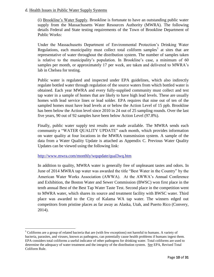## d. Health Issues in Public Water Supply Systems

(i) Brookline's Water Supply. Brookline is fortunate to have an outstanding public water supply from the Massachusetts Water Resources Authority (MWRA). The following details Federal and State testing requirements of the Town of Brookline Department of Public Works:

Under the Massachusetts Department of Environmental Protection's Drinking Water Regulations, each municipality must collect total coliform samples<sup>1</sup> at sites that are representative of water throughout the distribution system. The number of samples taken is relative to the municipality's population. In Brookline's case, a minimum of 60 samples per month, or approximately 17 per week, are taken and delivered to MWRA's lab in Chelsea for testing.

Public water is regulated and inspected under EPA guidelines, which also indirectly regulate bottled water through regulation of the source waters from which bottled water is obtained. Each year MWRA and every fully-supplied community must collect and test tap water in a sample of homes that are likely to have high lead levels. These are usually homes with lead service lines or lead solder. EPA requires that nine out of ten of the sampled homes must have lead levels at or below the Action Level of 15 ppb. Brookline has been below the Action level since 2010 in 24 out of 25 sampling rounds. Over the last five years, 90 out of 92 samples have been below Action Level (97.8%).

Finally, public water supply test results are made available. The MWRA sends each community a "WATER QUALITY UPDATE" each month, which provides information on water quality at four locations in the MWRA transmission system. A sample of the data from a Water Quality Update is attached as Appendix C. Previous Water Quality Updates can be viewed using the following link:

<http://www.mwra.com/monthly/wqupdate/qual3wq.htm>

 $\overline{a}$ 

In addition to quality, MWRA water is generally free of unpleasant tastes and odors. In June of 2014 MWRA tap water was awarded the title "Best Water in the Country" by the American Water Works Association (AWWA). At the AWWA's Annual Conference and Exhibition, the Boston Water and Sewer Commission (BWSC) won first place in the tenth annual Best of the Best Tap Water Taste Test. Second place in the competition went to MWRA water, which shares its source and treatment facility with BWSC water. Third place was awarded to the City of Kalama WA tap water. The winners edged out competitors from pristine places as far away as Alaska, Utah, and Puerto Rico (Convery, 2014).

<sup>&</sup>lt;sup>1</sup> Coliforms are a group of related bacteria that are (with few exceptions) not harmful to humans. A variety of bacteria, parasites, and viruses, known as pathogens, can potentially cause health problems if humans ingest them. EPA considers total coliforms a useful indicator of other pathogens for drinking water. Total coliforms are used to determine the adequacy of water treatment and the integrity of the distribution system. See EPA, Revised Total Coliform Rule.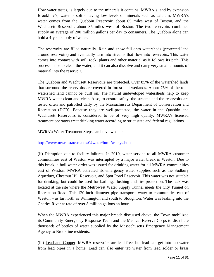How water tastes, is largely due to the minerals it contains. MWRA's, and by extension Brookline's, water is soft - having low levels of minerals such as calcium. MWRA's water comes from the Quabbin Reservoir, about 65 miles west of Boston, and the Wachusett Reservoir, about 35 miles west of Boston. The two reservoirs combined supply an average of 200 million gallons per day to consumers. The Quabbin alone can hold a 4-year supply of water.

The reservoirs are filled naturally. Rain and snow fall onto watersheds (protected land around reservoirs) and eventually turn into streams that flow into reservoirs. This water comes into contact with soil, rock, plants and other material as it follows its path. This process helps to clean the water, and it can also dissolve and carry very small amounts of material into the reservoir.

The Quabbin and Wachusett Reservoirs are protected. Over 85% of the watershed lands that surround the reservoirs are covered in forest and wetlands. About 75% of the total watershed land cannot be built on. The natural undeveloped watersheds help to keep MWRA water clean and clear. Also, to ensure safety, the streams and the reservoirs are tested often and patrolled daily by the Massachusetts Department of Conservation and Recreation (DCR). Because they are well-protected, the water in the Quabbin and Wachusett Reservoirs is considered to be of very high quality. MWRA's licensed treatment operators treat drinking water according to strict state and federal regulations.

MWRA's Water Treatment Steps can be viewed at:

<http://www.mwra.state.ma.us/04water/html/watsys.htm>

(ii) Disruption due to facility failures. In 2010, water service to all MWRA customer communities east of Weston was interrupted by a major water break in Weston. Due to this break, a boil water order was issued for drinking water for all MWRA communities east of Weston. MWRA activated its emergency water supplies such as the Sudbury Aqueduct, Chestnut Hill Reservoir, and Spot Pond Reservoir. This water was not suitable for drinking, but could be used for bathing, flushing and fire protection. The leak was located at the site where the Metrowest Water Supply Tunnel meets the City Tunnel on Recreation Road. This 120-inch diameter pipe transports water to communities east of Weston – as far north as Wilmington and south to Stoughton. Water was leaking into the Charles River at rate of over 8 million gallons an hour.

When the MWRA experienced this major breech discussed above, the Town mobilized its Community Emergency Response Team and the Medical Reserve Corps to distribute thousands of bottles of water supplied by the Massachusetts Emergency Management Agency to Brookline residents.

(iii) Lead and Copper. MWRA reservoirs are lead free, but lead can get into tap water from lead pipes in a home. Lead can also enter tap water from lead solder or brass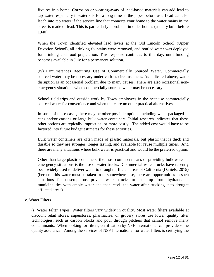fixtures in a home. Corrosion or wearing-away of lead-based materials can add lead to tap water, especially if water sits for a long time in the pipes before use. Lead can also leach into tap water if the service line that connects your home to the water mains in the street is made of lead. This is particularly a problem in older homes (usually built before 1940).

When the Town identified elevated lead levels at the Old Lincoln School (Upper Devotion School), all drinking fountains were removed, and bottled water was deployed for drinking and food preparation. This response continues to this day, until funding becomes available in July for a permanent solution.

(iv) Circumstances Requiring Use of Commercially Sourced Water. Commercially sourced water may be necessary under various circumstances. As indicated above, water disruption is an occasional problem due to many causes. There are also occasional nonemergency situations when commercially sourced water may be necessary.

School field trips and outside work by Town employees in the heat use commercially sourced water for convenience and when there are no other practical alternatives.

In some of these cases, there may be other possible options including water packaged in cans and/or cartons or large bulk water containers. Initial research indicates that these other options are typically impractical or more costly. The added cost would have to be factored into future budget estimates for these activities.

Bulk water containers are often made of plastic materials, but plastic that is thick and durable so they are stronger, longer lasting, and available for reuse multiple times. And there are many situations where bulk water is practical and would be the preferred option.

Other than large plastic containers, the most common means of providing bulk water in emergency situations is the use of water trucks. Commercial water trucks have recently been widely used to deliver water to drought afflicted areas of California (Daniels, 2015) (because this water must be taken from somewhere else, there are opportunities in such situations for unscrupulous private water trucks to load up from hydrants in municipalities with ample water and then resell the water after trucking it to drought afflicted areas).

#### e. Water Filters

(i) Water Filter Types. Water filters vary widely in quality. Most water filters available at discount retail stores, superstores, pharmacies, or grocery stores use lower quality filter technologies, such as carbon blocks and pour through pitchers that cannot remove many contaminants. When looking for filters, certification by NSF International can provide some quality assurance. Among the services of NSF International for water filters is certifying the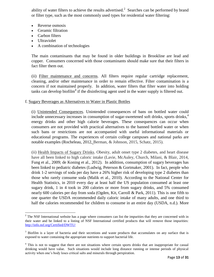ability of water filters to achieve the results advertised.<sup>2</sup> Searches can be performed by brand or filter type, such as the most commonly used types for residential water filtering:

- Reverse osmosis
- Ceramic filtration
- Carbon filters
- Ultraviolet
- A combination of technologies

The main contaminants that may be found in older buildings in Brookline are lead and copper. Consumers concerned with those contaminants should make sure that their filters in fact filter them out.

(ii) Filter maintenance and concerns. All filters require regular cartridge replacement, cleaning, and/or other maintenance in order to remain effective. Filter contamination is a concern if not maintained properly. In addition, water filters that filter water into holding tanks can develop biofilm<sup>3</sup> if the disinfecting agent used in the water supply is filtered out.

## f. Sugary Beverages as Alternatives to Water in Plastic Bottles

(i) Unintended Consequences. Unintended consequences of bans on bottled water could include unnecessary increases in consumption of sugar-sweetened soft drinks, sports drinks, $4\overline{4}$ energy drinks and other high calorie beverages. These consequences can occur when consumers are not provided with practical alternatives to the banned bottled water or when such bans or restrictions are not accompanied with useful informational materials or educational programs. The experiences of certain college campuses and national parks are notable examples (Rocheleau, 2012, Berman, & Johnson, 2015, Schatz, 2015).

(ii) Health Impacts of Sugary Drinks. Obesity, adult onset type 2 diabetes, and heart disease have all been linked to high caloric intake (Lavie, McAuley, Church, Milani, & Blair, 2014, Fung et al., 2009; de Koning et al., 2012). In addition, consumption of sugary beverages has been linked to pediatric diabetes (Ludwig, Peterson & Gortmaker, 2001). In fact, people who drink 1-2 servings of soda per day have a 26% higher risk of developing type 2 diabetes than those who rarely consume soda (Malik et al., 2010). According to the National Center for Health Statistics, in 2010 every day at least half the US population consumed at least one sugary drink, 1 in 4 took in 200 calories or more from sugary drinks, and 5% consumed nearly 600 calories per day from soda (Ogden, Kit, Carroll & Park, 2011). This is one fifth to one quarter the USDA recommended daily caloric intake of many adults, and one third to half the calories recommended for children to consume in an entire day (USDA, n.d.). More

<sup>&</sup>lt;sup>2</sup> The NSF International website has a page where consumers can list the impurities that they are concerned with in their water and be linked to a listing of NSF International certified products that will remove those impurities: <http://info.nsf.org/Certified/DWTU/>

<sup>&</sup>lt;sup>3</sup> Biofilm is a layer of bacteria and their secretions and waste products that accumulates on any surface that is exposed to water containing the appropriate nutrients to support bacterial life.

<sup>&</sup>lt;sup>4</sup> This is not to suggest that there are not situations where certain sports drinks that are inappropriate for casual drinking would have value. Such situations would include long distance running or intense periods of physical activity when one's body loses critical salts and minerals through perspiration.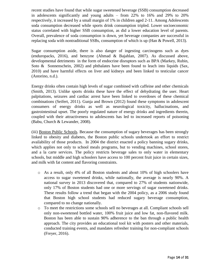recent studies have found that while sugar sweetened beverage (SSB) consumption decreased in adolescents significantly and young adults – from 22% to 16% and 29% to 20% respectively, it increased by a small margin of 1% in children aged 2-11. Among Adolescents soda consumption decreased while sports drink consumption tripled. Lower socioeconomic status correlated with higher SSB consumption, as did a lower education level of parents. Overall, prevalence of soda consumption is down, yet beverage companies are successful in replacing soda with nontraditional SSBs, consumption of which is up (Han & Powell, 2013).

Sugar consumption aside, there is also danger of ingesting carcinogens such as dyes (enduropacks, 2016), and benzyne (Ahmad & Bajahlan, 2007). As discussed above, developmental detriments in the form of endocrine disruptors such as BPA (Markey, Rubin, Soto & Sonnenschein, 2002) and phthalates have been found to leach into liquids (Sax, 2010) and have harmful effects on liver and kidneys and been linked to testicular cancer (Astorino, n.d.).

Energy drinks often contain high levels of sugar combined with caffeine and other chemicals (Smith, 2013). Unlike sports drinks these have the effect of dehydrating the user. Heart palpitations, seizures and cardiac arrest have been linked to overdoses of these chemical combinations (Seifert, 2011). Gunja and Brown (2012) found these symptoms in adolescent consumers of energy drinks as well as neurological toxicity, hallucinations, and gastrointestinal upset. The poorly regulated nature of energy drinks and ingredients therein, coupled with their attractiveness to adolescents has led to increased reports of poisoning (Babu, Church & Lewander, 2008).

(iii) Boston Public Schools. Because the consumption of sugary beverages has been strongly linked to obesity and diabetes, the Boston public schools undertook an effort to restrict availability of those products. In 2004 the district enacted a policy banning sugary drinks, which applies not only to school meals programs, but to vending machines, school stores, and a la carte services. The policy restricts beverage sales to only water in elementary schools, but middle and high schoolers have access to 100 percent fruit juice in certain sizes, and milk with fat content and flavoring constraints.

- o As a result, only 4% of all Boston students and about 10% of high schoolers have access to sugar sweetened drinks, while nationally, the average is nearly 90%. A national survey in 2013 discovered that, compared to 27% of students nationwide, only 17% of Boston students had one or more servings of sugar sweetened drinks. These results follow a trend that began with the 2004 policy, as a 2006 study found that Boston high school students had reduced sugary beverage consumption, compared to no change nationally.
- o To meet the restrictions some schools sell no beverages at all. Compliant schools sell only non-sweetened bottled water, 100% fruit juice and low fat, non-flavored milk. Boston has been able to sustain 90% adherence to the ban through a public health approach. The city provides an educational tool kit with posters and other materials, conducted training events, and mandates refresher training for non-compliant schools (Freyer, 2016).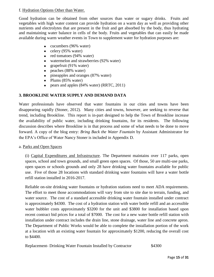#### f. Hydration Options Other than Water.

Good hydration can be obtained from other sources than water or sugary drinks. Fruits and vegetables with high water content can provide hydration on a warm day as well as providing other nutrients and electrolytes that are present in the fruit and get absorbed by the body, thus hydrating and maintaining water balance in cells of the body. Fruits and vegetables that can easily be made available during warm weather events in Town to supplement water for hydration purposes are:

- cucumbers (96% water)
- celery  $(95\% \text{ water})$
- red tomatoes (94% water)
- watermelon and strawberries (92% water)
- grapefruit  $(91\% \text{ water})$
- peaches (88% water)
- pineapples and oranges (87% water)
- Plums  $(85\% \text{ water})$
- pears and apples (84% water) (RRTC, 2011)

# **3. BROOKLINE WATER SUPPLY AND DEMAND DATA**

Water professionals have observed that water fountains in our cities and towns have been disappearing rapidly (Stoner, 2012). Many cities and towns, however, are seeking to reverse that trend, including Brookline. This report is in-part designed to help the Town of Brookline increase the availability of public water, including drinking fountains, for its residents. The following discussion describes where Brookline is in that process and some of what needs to be done to move forward. A copy of the blog entry: *Bring Back the Water Fountain* by Assistant Administrator for the EPA's Office of Water Nancy Stoner is included in Appendix D.

a. Parks and Open Spaces

(i) Capital Expenditures and Infrastructure. The Department maintains over 117 parks, open spaces, school and town grounds, and small green open spaces. Of those, 50 are multi-use parks, open spaces or schools grounds and only 28 have drinking water fountains available for public use. Five of those 28 locations with standard drinking water fountains will have a water bottle refill station installed in 2016-2017.

Reliable on-site drinking water fountains or hydration stations need to meet ADA requirements. The effort to meet those accommodations will vary from site to site due to terrain, funding, and water source. The cost of a standard accessible drinking water fountain installed under contract is approximately \$4300. The cost of a hydration station with water bottle refill and an accessible water bubbler costs approximately \$3200 for the unit and \$3800 for installation based upon recent contract bid prices for a total of \$7000. The cost for a new water bottle refill station with installation under contract includes the drain line, stone drainage, water line and concrete apron. The Department of Public Works would be able to complete the installation portion of the work at a location with an existing water fountain for approximately \$1200, reducing the overall cost to \$4400.

Replacement- Drinking Water Fountain Installed by Contractor \$4300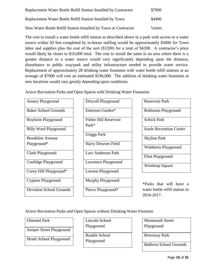| Replacement Water Bottle Refill Station Installed by Contractor | \$7000 |
|-----------------------------------------------------------------|--------|
| Replacement Water Bottle Refill Station Installed by Town       | \$4400 |
| New Water Bottle Refill Station Installed by Town or Contractor | Varies |

The cost to install a water bottle refill station as described above in a park with access to a water source within 50 feet completed by in-house staffing would be approximately \$3000 for Town labor and supplies plus the cost of the unit (\$3200) for a total of \$6200. A contractor's price would likely be closer to \$10,000 total. The cost to install the same in an area where there is a greater distance to a water source would vary significantly depending upon the distance, disturbance to public way/park and utility infrastructure needed to provide water service. Replacement of approximately 28 drinking water fountains with water bottle refill stations at an average of \$7000 will cost an estimated \$196,000. The addition of drinking water fountains at new locations would vary greatly depending upon conditions.

Active Recreation Parks and Open Spaces with Drinking Water Fountains

| <b>Amory Playground</b>        |
|--------------------------------|
| <b>Baker School Grounds</b>    |
| <b>Boylston Playground</b>     |
| <b>Billy Ward Playground</b>   |
| <b>Brookline Avenue</b>        |
| Playground*                    |
| Clark Playground               |
| Coolidge Playground            |
| Corey Hill Playground*         |
| <b>Cypress Playground</b>      |
| <b>Devotion School Grounds</b> |

| <b>Driscoll Playground</b>   |
|------------------------------|
| Emerson Garden*              |
| <b>Fisher Hill Reservoir</b> |
| $Park*$                      |
| <b>Griggs Park</b>           |
| <b>Harry Downes Field</b>    |
| Larz Anderson Park           |
| Lawrence Playground          |
| Lawton Playground            |
| Murphy Playground            |
| Pierce Playground*           |

| <b>Reservoir Park</b>          |
|--------------------------------|
| <b>Robinson Playground</b>     |
| <b>Schick Park</b>             |
| <b>Soule Recreation Center</b> |
| <b>Skyline Park</b>            |
| Waldstein Playground           |
| Eliot Playground               |
| <b>Winthrop Square</b>         |
|                                |

\*Parks that will have a water bottle refill station in 2016-2017.

Active Recreation Parks and Open Spaces without Drinking Water Fountain

# Olmsted Park

Juniper Street Playground

Heath School Playground

Lincoln School Playground

Runkle School Playground

Monmouth Street Playground

Riverway Park

Baldwin School Grounds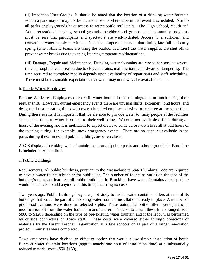(ii) Impact to User Groups. It should be noted that the location of a drinking water fountain within a park may or may not be located close to where a permitted event is scheduled. Nor do all parks or playgrounds have access to water bottle refill units. The High School, Youth and Adult recreational leagues, school grounds, neighborhood groups, and community programs must be sure that participants and spectators are well-hydrated. Access to a sufficient and convenient water supply is critical. It is also important to note that during late fall and early spring (when athletic teams are using the outdoor facilities) the water supplies are shut off to prevent water breaks due to evening freezing temperatures/fluctuations.

(iii) Damage, Repair and Maintenance. Drinking water fountains are closed for service several times throughout each season due to clogged drains, malfunctioning hardware or tampering. The time required to complete repairs depends upon availability of repair parts and staff scheduling. There must be reasonable expectations that water may not always be available on site.

#### b. Public Works Employees

Remote Worksites. Employees often refill water bottles in the mornings and at lunch during their regular shift. However, during emergency events there are unusual shifts, extremely long hours, and designated rest or eating times with over a hundred employees trying to recharge at the same time. During these events it is important that we are able to provide water to many people at the facilities at the same time, as water is critical to their well-being. Water is not available off site during all hours of the evening and it is inefficient to expect crews to come across town to refill at odd hours of the evening during, for example, snow emergency events. There are no supplies available in the parks during these times and public buildings are often closed.

A GIS display of drinking water fountain locations at public parks and school grounds in Brookline is included in Appendix E.

# c. Public Buildings

Requirements. All public buildings, pursuant to the Massachusetts State Plumbing Code are required to have a water fountain/bubbler for public use. The number of fountains varies on the size of the building's occupant load. As all public buildings in Brookline have water fountains already, there would be no need to add anymore at this time, incurring no costs.

Two years ago, Public Buildings began a pilot study to install water container fillers at each of its buildings that would be part of an existing water fountain installation already in place. A number of pilot modifications were done at selected sights. These automatic bottle fillers were part of a modification kit from the water fountain manufacturer. The cost to install these fillers ranged from \$800 to \$1200 depending on the type of pre-existing water fountain and if the labor was performed by outside contractors or Town staff. These costs were covered either through donations of materials by the Parent Teacher Organization at a few schools or as part of a larger renovation project. Four sites were completed.

Town employees have devised an effective option that would allow simple installation of bottle fillers at water fountain locations (approximately one hour of installation time) at a substantially reduced material costs (\$50-\$150).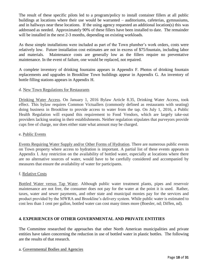The result of these specific pilots led to a program/policy to install container fillers at all public buildings at locations where their use would be warranted – auditoriums, cafeterias, gymnasiums, and in hallways near these locations. If the using agency requested an additional location(s) this was addressed as needed. Approximately 90% of these fillers have been installed to date. The remainder will be installed in the next 2-3 months, depending on existing workloads.

As these simple installations were included as part of the Town plumber's work orders, costs were relatively low. Future installation cost estimates are not in excess of \$75/fountain, including labor and materials. Maintenance costs are generally low as the fillers require no preventative maintenance. In the event of failure, one would be replaced, not repaired.

A complete inventory of drinking fountains appears in Appendix F. Photos of drinking fountain replacements and upgrades in Brookline Town buildings appear in Appendix G. An inventory of bottle filling stations appears in Appendix H.

## d. New Town Regulations for Restaurants

Drinking Water Access. On January 1, 2016 Bylaw Article 8.35, Drinking Water Access, took effect. This bylaw requires Common Victuallers (commonly defined as restaurants with seating) doing business in Brookline to provide access to water from the tap. On July 1, 2016, a Public Health Regulation will expand this requirement to Food Vendors, which are largely take-out providers lacking seating in their establishments. Neither regulation stipulates that purveyors provide cups free of charge, nor does either state what amount may be charged.

#### e. Public Events

Events Requiring Water Supply and/or Other Forms of Hydration. There are numerous public events on Town property where access to hydration is important. A partial list of these events appears in Appendix I. Any restriction on the availability of bottled water, especially at locations where there are no alternative sources of water, would have to be carefully considered and accompanied by measures that ensure the availability of water for participants.

#### f. Relative Costs

Bottled Water versus Tap Water. Although public water treatment plants, pipes and reservoir maintenance are not free, the consumer does not pay for the water at the point it is used. Rather, taxes, water and sewer payments, and other state and municipal monies pay for the services and product provided by the MWRA and Brookline's delivery system. While public water is estimated to cost less than 1 cent per gallon, bottled water can cost many times more (Boesler, nd; Diffen, nd).

# **4. EXPERIENCES OF OTHER GOVERNMENTAL AND PRIVATE ENTITIES**

The Committee researched the approaches that other North American municipalities and private entities have taken concerning the reduction in use of bottled water in plastic bottles. The following are the results of that research.

#### a. Governmental Bodies and Agencies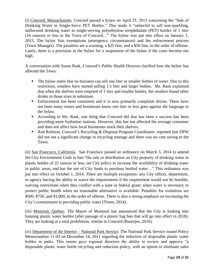(i) Concord, Massachusetts. Concord passed a bylaw on April 25, 2012 concerning the "Sale of Drinking Water in Single-Serve PET Bottles." This made it "unlawful to sell non-sparkling, unflavored drinking water in single-serving polyethylene terephthalate (PET) bottles of 1 liter (34 ounces) or less in the Town of Concord…" The bylaw was put into effect on January 1, 2013. The bylaw lists exemptions (emergency circumstances) and the enforcement process (Town Manager). The penalties are a warning, a \$25 fine, and a \$50 fine, in the order of offense. Lastly, there is a provision in the bylaw for a suspension of the bylaw if the costs become too high.

A conversation with Susan Rask, Concord's Public Health Director clarified how the bylaw has affected the Town.

- The bylaw states that no business can sell one liter or smaller bottles of water. Due to this restriction, retailers have started selling 1.5 liter and larger bottles. Ms. Rask explained that when the shelves were emptied of 1 liter and smaller bottles, the retailers found other drinks in those sizes to substitute.
- Enforcement has been consistent and it is now primarily complaint driven. There have not been many issues and businesses know one liter or less goes against the language in the bylaw.
- According to Ms. Rask, one thing that Concord did that has been a success has been providing more hydration stations. However, this has not affected the average consumer and does not affect how local businesses stock their shelves.
- Rod Robison, Concord's Recycling & Disposal Program Coordinator, reported that DPW did not see a significant change in recycling tonnage and there was no cost saving to the Town.

(ii) San Francisco, California. San Francisco passed an ordinance on March 3, 2014 to amend the City Environment Code to ban "the sale or distribution on City property of drinking water in plastic bottles of 21 ounces or less, set City policy to increase the availability of drinking water in public areas, and bar the use of City funds to purchase bottled water…" This ordinance was put into effect on October 1, 2014. There are multiple exceptions: any City officer, department, or agency having the ability to waive the requirements if the requirement would not be feasible; waiving restrictions when they conflict with a state or federal grant; when water is necessary to protect public health when no reasonable alternative is available. Penalties for violations are \$500, \$750, and \$1,000, in the order of offense. There is also a strong emphasis on increasing the City's commitment to providing public water (Timm, 2014).

(iii) Montreal, Quebec. The Mayor of Montreal has announced that the City is looking into banning plastic water bottles (after passage of a plastic bag ban that will go into effect in 2018). They are looking at a total prohibition, similar to Concord (Banerjee, 2016).

(iv) Department of the Interior – National Park Service. The National Park Service issued Policy Memorandum 11-03 on December 14, 2011 regarding the reduction of disposable plastic water bottles in parks. This memo gave regional directors the ability to review and approve "a disposable plastic water bottle recycling and reduction policy, with an option to eliminate sales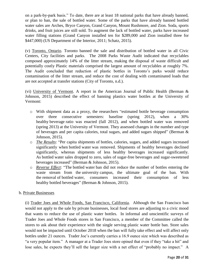on a park-by-park basis." To date, there are at least 18 national parks that have already banned, or plan to ban, the sale of bottled water. Some of the parks that have already banned bottled water sales are Arches, Bryce Canyon, Grand Canyon, Mount Rushmore, and Zion. Soda, sports drinks, and fruit juices are still sold. To augment the lack of bottled water, parks have increased water filling stations (Grand Canyon installed ten for \$289,000 and Zion installed three for \$447,000) (US Department of the Interior, 2011; Schatz, 2015).

(v) Toronto, Ontario. Toronto banned the sale and distribution of bottled water in all Civic Centers, City facilities and parks. The 2008 Parks Waste Audit indicated that recyclables composed approximately 14% of the litter stream, making the disposal of waste difficult and potentially costly Plastic materials comprised the largest amount of recyclables at roughly 7%. The Audit concluded that reduction of plastic bottles in Toronto's parks would reduce contamination of the litter stream, and reduce the cost of dealing with contaminated loads that are not accepted at transfer stations (City of Toronto, n.d.).

(vi) University of Vermont. A report in the American Journal of Public Health (Berman & Johnson, 2015) described the effect of banning plastics water bottles at the University of Vermont:

- o With shipment data as a proxy, the researchers "estimated bottle beverage consumption over three consecutive semesters: baseline (spring 2012), when a 30% healthy beverage ratio was enacted (fall 2012), and when bottled water was removed (spring 2013) at the University of Vermont. They assessed changes in the number and type of beverages and per capita calories, total sugars, and added sugars shipped" (Berman & Johnson, 2015).
- o *The Results*: "Per capita shipments of bottles, calories, sugars, and added sugars increased significantly when bottled water was removed. Shipments of healthy beverages declined significantly, whereas shipments of less healthy beverages increased significantly. As bottled water sales dropped to zero, sales of sugar-free beverages and sugar-sweetened beverages increased" (Berman & Johnson, 2015).
- o *Reverse Effect*: "The bottled water ban did not reduce the number of bottles entering the waste stream from the university campus, the ultimate goal of the ban. With the removal of bottled water, consumers increased their consumption of less healthy bottled beverages" (Berman & Johnson, 2015).

# b. Private Businesses

(i) Trader Joes and Whole Foods, San Francisco, California. Although the San Francisco ban would not apply to the sale by private businesses, local food stores are adjusting to a civic mood that wants to reduce the use of plastic water bottles. In informal and unscientific surveys of Trader Joes and Whole Foods stores in San Francisco, a member of the Committee called the stores to ask about their experience with the single serving plastic water bottle ban. Store sales would not be impacted until October 2018 when the ban will fully take effect and will affect only bottles under 21 ounces. Trader Joe's currently carries a 16.9 ounce size which was described as "a very popular item." A manager at a Trader Joes store opined that even if they "take a hit" and lose sales, he expects they'll sell the larger size with a net effect of "probably no impact." A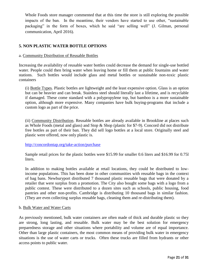Whole Foods store manager commented that at this time the store is still exploring the possible impacts of the ban. In the meantime, their vendors have started to use other, "sustainable packaging" in the form of boxes, which he said "are selling well" (J. Gilman, personal communication, April 2016).

# **5. NON PLASTIC WATER BOTTLE OPTIONS**

#### a. Community Distribution of Reusable Bottles

Increasing the availability of reusable water bottles could decrease the demand for single-use bottled water. People could then bring water when leaving home or fill them at public fountains and water stations. Such bottles would include glass and metal bottles or sustainable non-toxic plastic containers

(i) Bottle Types. Plastic bottles are lightweight and the least expensive option. Glass is an option but can be heavier and can break. Stainless steel should literally last a lifetime, and is recyclable if damaged. These come standard with a polypropylene top, but bamboo is a more sustainable option, although more expensive. Many companies have bulk buying-programs that include a custom logo as part of the price.

(ii) Community Distribution. Reusable bottles are already available in Brookline at places such as Whole Foods (metal and glass) and Stop & Shop (plastic for \$7-9). Concord did not distribute free bottles as part of their ban. They did sell logo bottles at a local store. Originally steel and plastic were offered, now only plastic is.

http://concordontap.org/take-action/purchase

Sample retail prices for the plastic bottles were \$15.99 for smaller 0.6 liters and \$16.99 for 0.75l liters.

In addition to making bottles available at retail locations, they could be distributed to lowincome populations. This has been done in other communities with reusable bags in the context of bag bans. Newburyport distributed 7 thousand plastic reusable bags that were donated by a retailer that were surplus from a promotion. The City also bought some bags with a logo from a public contest. These were distributed to a dozen sites such as schools, public housing, food pantries and other non-profits. Cambridge is distributing 10 thousand bags in similar fashion. (They are even collecting surplus reusable bags, cleaning them and re-distributing them).

#### b. Bulk Water and Water Carts

As previously mentioned, bulk water containers are often made of thick and durable plastic so they are strong, long lasting, and reusable. Bulk water may be the best solution for emergency preparedness storage and other situations where portability and volume are of equal importance. Other than large plastic containers, the most common means of providing bulk water in emergency situations is the use of water carts or trucks. Often these trucks are filled from hydrants or other access points to public water.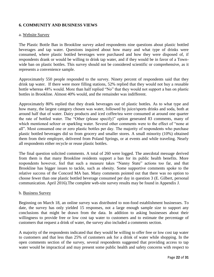# **6. COMMUNITY AND BUSINESS VIEWS**

#### a. Website Survey

The Plastic Bottle Ban in Brookline survey asked respondents nine questions about plastic bottled beverages and tap water. Questions inquired about how many and what type of drinks were consumed, where plastic bottled beverages were purchased and how they were disposed of, if respondents drank or would be willing to drink tap water, and if they would be in favor of a Townwide ban on plastic bottles. This survey should not be considered scientific or comprehensive, as it represents a convenience sample.

Approximately 550 people responded to the survey. Ninety percent of respondents said that they drink tap water. If there were more filling stations, 52% replied that they would not buy a reusable bottle whereas 48% would. More than half replied "No" that they would not support a ban on plastic bottles in Brookline. Almost 40% would, and the remainder was indifferent.

Approximately 80% replied that they drank beverages out of plastic bottles. As to what type and how many, the largest category chosen was water, followed by juice/sports drinks and soda, both at around half that of water. Dairy products and iced coffee/tea were consumed at around one quarter the rate of bottled water. The "Other (please specify)" option generated 83 comments, many of which mentioned seltzer or sparkling water. Several other comments were to the effect of "none at all". Most consumed one or zero plastic bottles per day. The majority of respondents who purchase plastic bottled beverages did so from grocery and smaller stores. A small minority (10%) obtained them from their employer, delivered from Poland Springs, or at events and while traveling. Nearly all respondents either recycle or reuse plastic bottles.

The final question solicited comments. A total of 260 were logged. The anecdotal message derived from them is that many Brookline residents support a ban for its public health benefits. More respondents however, feel that such a measure takes "Nanny State" actions too far, and that Brookline has bigger issues to tackle, such as obesity. Some supportive comments spoke to the relative success of the Concord MA ban. Many comments pointed out that there was no option to choose fewer than one plastic bottled beverage consumed per day in question 3 (E. Gilbert, personal communication. April 2016).The complete web-site survey results may be found in Appendix J.

#### b. Business Survey

Beginning on March 18, an online survey was distributed to non-food establishment businesses. To date, the survey has only yielded 15 responses, not a large enough sample size to support any conclusions that might be drawn from the data. In addition to asking businesses about their willingness to provide free or low cost tap water to customers and to estimate the percentage of customers that request a drink of water, the survey also included a comments section.

A majority of the respondents indicated that they would be willing to offer free or low cost tap water to customers and that less than 25% of customers ask for a drink of water while shopping. In the open comments section of the survey, several respondents suggested that providing access to tap water would be impractical and may present some public health and safety concerns with respect to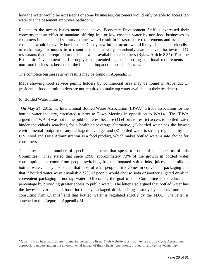how the water would be accessed. For some businesses, customers would only be able to access tap water via the basement employee bathroom.

Related to the access issues mentioned above, Economic Development Staff is expressed their concerns that an effort to mandate offering free or low cost tap water by non-food businesses to customers in a clean and sanitary manner would result in infrastructure requirements and associated costs that would be overly burdensome. Costly new infrastructure would likely displace merchandise to make way for access to a resource that is already abundantly available via the town's 147 restaurants that are required to make tap water available to customers (Bylaw Article 8.35). Thus the Economic Development staff strongly recommended against imposing additional requirements on non-food businesses because of the financial impact on those businesses.

The complete business survey results may be found in Appendix K.

Maps showing food service permit holders by commercial area may be found in Appendix L. (residential food permit holders are not required to make tap water available to their residents).

#### (c) Bottled Water Industry

l

 On May 24, 2015, the International Bottled Water Association (IBWA), a trade association for the bottled water industry, circulated a letter to Town Meeting in opposition to WA14. The IBWA argued that WA14 was not in the public interest because (1) efforts to restrict access to bottled water hinder individuals searching for a healthier beverage alternative, (2) bottled water has the lowest environmental footprint of any packaged beverage, and (3) bottled water is strictly regulated by the U.S. Food and Drug Administration as a food product, which makes bottled water a safe choice for consumers.

The letter made a number of specific statements that speak to some of the concerns of this Committee. They stated that since 1998, approximately 73% of the growth in bottled water consumption has come from people switching from carbonated soft drinks, juices, and milk to bottled water. They also stated that most of what people drink comes in convenient packaging and that if bottled water wasn't available 52% of people would choose soda or another sugared drink in convenient packaging – not tap water. Of course, the goal of this Committee is to reduce that percentage by providing greater access to public water. The letter also argued that bottled water has the lowest environmental footprint of any packaged drinks, citing a study by the environmental consulting firm Quantis<sup>5</sup> and that bottled water is regulated strictly by the FDA. The letter is attached to this Report at Appendix M.

<sup>&</sup>lt;sup>5</sup> Quantis is an international environmental consulting firm. Their website says that they use a Life Cycle Assessment approach to understanding the environmental impact of their clients' operations, products, services, or technology.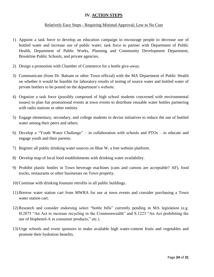# **IV. ACTION STEPS**

## Relatively Easy Steps - Requiring Minimal Approval; Low to No Cost

- 1) Appoint a task force to develop an education campaign to encourage people to decrease use of bottled water and increase use of public water; task force to partner with Department of Public Health, Department of Public Works, Planning and Community Development Department, Brookline Public Schools, and private agencies.
- 2) Design a promotion with Chamber of Commerce for a bottle give-away.
- 3) Communicate (from Dr. Balsam or other Town official) with the MA Department of Public Health on whether it would be feasible for laboratory results of testing of source water and bottled water of private bottlers to be posted on the department's website.
- 4) Organize a task force (possibly composed of high school students concerned with environmental issues) to plan fun promotional events at town events to distribute reusable water bottles partnering with radio stations or other entities.
- 5) Engage elementary, secondary, and college students to devise initiatives to reduce the use of bottled water among their peers and others.
- 6) Develop a "Youth Water Challenge" in collaboration with schools and PTOs to educate and engage youth and their parents.
- 7) Register all public drinking water sources on Blue W, a free website platform.
- 8) Develop map of local food establishments with drinking water availability.
- 9) Prohibit plastic bottles in Town beverage machines (cans and cartons are acceptable? AF), food trucks, restaurants or other businesses on Town property.
- 10) Continue with drinking fountain retrofits in all public buildings.
- 11) Borrow water station cart from MWRA for use at town events and consider purchasing a Town water station cart.
- 12) Research and consider endorsing select "bottle bills" currently pending in MA legislation (e.g. H.2875 "An Act to increase recycling in the Commonwealth" and S.1223 "An Act prohibiting the use of bisphenol-A in consumer products," etc.).
- 13) Urge schools and event sponsors to make available high water-content fruits and vegetables and promote their hydration benefits.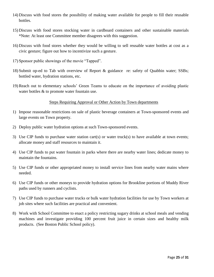- 14) Discuss with food stores the possibility of making water available for people to fill their reusable bottles.
- 15) Discuss with food stores stocking water in cardboard containers and other sustainable materials \*Note: At least one Committee member disagrees with this suggestion.
- 16) Discuss with food stores whether they would be willing to sell reusable water bottles at cost as a civic gesture; figure out how to incentivize such a gesture.
- 17) Sponsor public showings of the movie "Tapped".
- 18) Submit op-ed to Tab with overview of Report & guidance re: safety of Quabbin water; SSBs; bottled water, hydration stations, etc.
- 19) Reach out to elementary schools' Green Teams to educate on the importance of avoiding plastic water bottles & to promote water fountain use.

## Steps Requiring Approval or Other Action by Town departments

- 1) Impose reasonable restrictions on sale of plastic beverage containers at Town-sponsored events and large events on Town property.
- 2) Deploy public water hydration options at such Town-sponsored events.
- 3) Use CIP funds to purchase water station cart(s) or water truck(s) to have available at town events; allocate money and staff resources to maintain it.
- 4) Use CIP funds to put water fountain in parks where there are nearby water lines; dedicate money to maintain the fountains.
- 5) Use CIP funds or other appropriated money to install service lines from nearby water mains where needed.
- 6) Use CIP funds or other moneys to provide hydration options for Brookline portions of Muddy River paths used by runners and cyclists.
- 7) Use CIP funds to purchase water trucks or bulk water hydration facilities for use by Town workers at job sites where such facilities are practical and convenient.
- 8) Work with School Committee to enact a policy restricting sugary drinks at school meals and vending machines and investigate providing 100 percent fruit juice in certain sizes and healthy milk products. (See Boston Public School policy).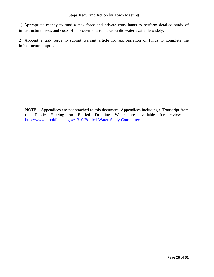## Steps Requiring Action by Town Meeting

1) Appropriate money to fund a task force and private consultants to perform detailed study of infrastructure needs and costs of improvements to make public water available widely.

2) Appoint a task force to submit warrant article for appropriation of funds to complete the infrastructure improvements.

NOTE – Appendices are not attached to this document. Appendices including a Transcript from the Public Hearing on Bottled Drinking Water are available for review at [http://www.brooklinema.gov/1310/Bottled-Water-Study-Committee.](http://www.brooklinema.gov/1310/Bottled-Water-Study-Committee)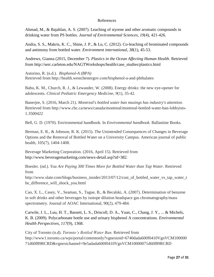#### References

Ahmad, M., & Bajahlan, A. S. (2007). Leaching of styrene and other aromatic compounds in drinking water from PS bottles. *Journal of Environmental Sciences*, *19*(4), 421-426.

Andra, S. S., Makris, K. C., Shine, J. P., & Lu, C. (2012). Co-leaching of brominated compounds and antimony from bottled water. *Environment international*, *38*(1), 45-53.

Andrews, Gianna (2015, December 7). *Plastics in the Ocean Affecting Human Health*. Retrieved from http://serc.carleton.edu/NAGTWorkshops/health/case\_studies/plastics.html

Astorino, R. (n.d.). *Bisphenol-A (BPA)* Retrieved from http://health.westchestergov.com/bisphenol-a-and-phthalates

Babu, K. M., Church, R. J., & Lewander, W. (2008). Energy drinks: the new eye-opener for adolescents. *Clinical Pediatric Emergency Medicine*, *9*(1), 35-42.

Banerjee, S. (2016, March 21). *Montreal's bottled water ban musings has industry's attention.*  Retrieved from http://www.cbc.ca/news/canada/montreal/montreal-bottled-water-ban-lobbyists-1.3500422

Bell, G. D. (1970). Environmental handbook. In *Environmental handbook*. Ballantine Books.

Berman, E. R., & Johnson, R. K. (2015). The Unintended Consequences of Changes in Beverage Options and the Removal of Bottled Water on a University Campus. American journal of public health, 105(7), 1404-1408.

Beverage Marketing Corporation. (2016, April 15). Retrieved from http://www.beveragemarketing.com/news-detail.asp?id=382.

Boesler. (nd.). *You Are Paying 300 Times More for Bottled Water than Tap Water*. Retrieved from

http://www.slate.com/blogs/business\_insider/2013/07/12/cost\_of\_bottled\_water\_vs\_tap\_water\_t he\_difference\_will\_shock\_you.html

Cao, X. L., Casey, V., Seaman, S., Tague, B., & Becalski, A. (2007). Determination of benzene in soft drinks and other beverages by isotope dilution headspace gas chromatography/mass spectrometry. Journal of AOAC International, 90(2), 479-484.

Carwile, J. L., Luu, H. T., Bassett, L. S., Driscoll, D. A., Yuan, C., Chang, J. Y., ... & Michels, K. B. (2009). Polycarbonate bottle use and urinary bisphenol A concentrations. *Environmental Health Perspectives*, *117*(9), 1368.

City of Toronto (n.d). *Toronto's Bottled Water Ban.* Retrieved from http://www1.toronto.ca/wps/portal/contentonly?vgnextoid=6740dada600f0410VgnVCM100000 71d60f89RCRD&vgnextchannel=9e5adada600f0410VgnVCM10000071d60f89RCRD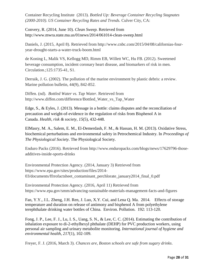Container Recycling Institute (2013). *Bottled Up: Beverage Container Recycling Stagnates (2000-2010)*. *US Container Recycling Rates and Trends.* Culver City, CA:

Convery, R. (2014, June 10). *Clean Sweep.* Retrieved from http://www.mwra.state.ma.us/01news/2014/061014-clean-sweep.html

Daniels, J. (2015, April 8). Retrieved from http://www.cnbc.com/2015/04/08/californias-fouryear-drought-starts-a-water-truck-boom.html

de Koning L, Malik VS, Kellogg MD, Rimm EB, Willett WC, Hu FB. (2012). Sweetened beverage consumption, incident coronary heart disease, and biomarkers of risk in men. Circulation.;125:1735-41, S1.

Derraik, J. G. (2002). The pollution of the marine environment by plastic debris: a review. Marine pollution bulletin, 44(9), 842-852.

Diffen. (nd). *Bottled Water vs. Tap Water*. Retrieved from http://www.diffen.com/difference/Bottled\_Water\_vs\_Tap\_Water

Edge, S., & Eyles, J. (2013). Message in a bottle: claims disputes and the reconciliation of precaution and weight-of-evidence in the regulation of risks from Bisphenol A in Canada. *Health, risk & society*, *15*(5), 432-448.

ElMasry, M. A., Salem, E. M., El-Demerdash, F. M., & Hassan, H. M. (2013). Oxidative Stress, biochemical perturbations and environmental safety in Petrochemical Industry. In *Proceedings of The Physiological Society*. The Physiological Society.

Enduro Packs (2016). Retrieved from http://www.enduropacks.com/blogs/news/17629796-thoseadditives-inside-sports-drinks

Environmental Protection Agency. (2014, January 3) Retrieved from https://www.epa.gov/sites/production/files/2014- 03/documents/ffrrofactsheet\_contaminant\_perchlorate\_january2014\_final\_0.pdf

Environmental Protection Agency. (2016, April 11) Retrieved from https://www.epa.gov/smm/advancing-sustainable-materials-management-facts-and-figures

Fan, Y.Y., J.L. Zheng, J.H. Ren, J. Luo, X.Y. Cui, and Lena Q. Ma. 2014. Effects of storage temperature and duration on release of antimony and bisphenol A from polyethylene terephthalate drinking water bottles of China. Environ. Pollution. 192: 113-120.

Fong, J. P., Lee, F. J., Lu, I. S., Uang, S. N., & Lee, C. C. (2014). Estimating the contribution of inhalation exposure to di-2-ethylhexyl phthalate (DEHP) for PVC production workers, using personal air sampling and urinary metabolite monitoring. *International journal of hygiene and environmental health*, *217*(1), 102-109.

Freyer, F. J. (2016, March 3). *Chances are, Boston schools are safe from sugary drinks*.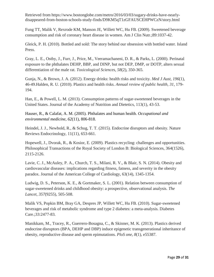Retrieved from https://www.bostonglobe.com/metro/2016/03/03/sugary-drinks-have-nearlydisappeared-from-boston-schools-study-finds/D9KM5qT1zGFAUSCEHPWCzN/story.html

Fung TT, Malik V, Rexrode KM, Manson JE, Willett WC, Hu FB. (2009). Sweetened beverage consumption and risk of coronary heart disease in women. Am J Clin Nutr.;89:1037-42.

Gleick, P. H. (2010). Bottled and sold: The story behind our obsession with bottled water. Island Press.

Gray, L. E., Ostby, J., Furr, J., Price, M., Veeramachaneni, D. R., & Parks, L. (2000). Perinatal exposure to the phthalates DEHP, BBP, and DINP, but not DEP, DMP, or DOTP, alters sexual differentiation of the male rat. *Toxicological Sciences*, *58*(2), 350-365.

Gunja, N., & Brown, J. A. (2012). Energy drinks: health risks and toxicity. *Med J Aust*, *196*(1), 46-49.Halden, R. U. (2010). Plastics and health risks. *Annual review of public health*, *31*, 179- 194.

Han, E., & Powell, L. M. (2013). Consumption patterns of sugar-sweetened beverages in the United States. Journal of the Academy of Nutrition and Dietetics, 113(1), 43-53.

Hauser, R., & Calafat, A. M. (2005). Phthalates and human health. *Occupational and environmental medicine*, *62*(11), 806-818.

Heindel, J. J., Newbold, R., & Schug, T. T. (2015). Endocrine disruptors and obesity. Nature Reviews Endocrinology, 11(11), 653-661.

Hopewell, J., Dvorak, R., & Kosior, E. (2009). Plastics recycling: challenges and opportunities. Philosophical Transactions of the Royal Society of London B: Biological Sciences, 364(1526), 2115-2126.

Lavie, C. J., McAuley, P. A., Church, T. S., Milani, R. V., & Blair, S. N. (2014). Obesity and cardiovascular diseases: implications regarding fitness, fatness, and severity in the obesity paradox. Journal of the American College of Cardiology, 63(14), 1345-1354.

Ludwig, D. S., Peterson, K. E., & Gortmaker, S. L. (2001). Relation between consumption of sugar-sweetened drinks and childhood obesity: a prospective, observational analysis. *The Lancet*, *357*(9255), 505-508.

Malik VS, Popkin BM, Bray GA, Despres JP, Willett WC, Hu FB. (2010). Sugar-sweetened beverages and risk of metabolic syndrome and type 2 diabetes: a meta-analysis. Diabetes Care.;33:2477-83.

Manikkam, M., Tracey, R., Guerrero-Bosagna, C., & Skinner, M. K. (2013). Plastics derived endocrine disruptors (BPA, DEHP and DBP) induce epigenetic transgenerational inheritance of obesity, reproductive disease and sperm epimutations. *PloS one*, *8*(1), e55387.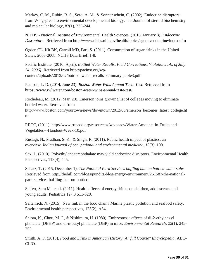Markey, C. M., Rubin, B. S., Soto, A. M., & Sonnenschein, C. (2002). Endocrine disruptors: from Wingspread to environmental developmental biology. The Journal of steroid biochemistry and molecular biology, 83(1), 235-244.

NIEHS - National Institute of Environmental Health Sciences. (2016, January 8). *Endocrine Disruptors*. Retrieved from http://www.niehs.nih.gov/health/topics/agents/endocrine/index.cfm

Ogden CL, Kit BK, Carroll MD, Park S. (2011). Consumption of sugar drinks in the United States, 2005-2008. NCHS Data Brief.:1-8.

Pacific Institute. (2010, April). *Bottled Water Recalls, Field Corrections, Violations [As of July 24, 2006].* Retrieved from http://pacinst.org/wpcontent/uploads/2013/02/bottled\_water\_recalls\_summary\_table3.pdf

Paulson, L. D. (2014, June 23). *Boston Water Wins Annual Taste Test.* Retrieved from https://www.rwlwater.com/boston-water-wins-annual-taste-test/

Rocheleau, M. (2012, Mar. 20). Emerson joins growing list of colleges moving to eliminate bottled water. Retrieved from

http://www.boston.com/yourtown/news/downtown/2012/03/emerson\_becomes\_latest\_college.ht ml

RRTC, (2011). http://www.rrtcadd.org/resources/Advocacy/Water-Amounts-in-Fruits-and-Vegetables---Handout-Week-10.pdf

Rustagi, N., Pradhan, S. K., & Singh, R. (2011). Public health impact of plastics: an overview. *Indian journal of occupational and environmental medicine*, *15*(3), 100.

Sax, L. (2010). Polyethylene terephthalate may yield endocrine disruptors. Environmental Health Perspectives, 118(4), 445.

Schatz, T. (2015, December 1). *The National Park Services baffling ban on bottled water sales*  Retrieved from http://thehill.com/blogs/pundits-blog/energy-environment/261587-the-nationalpark-services-baffling-ban-on-bottled

Seifert, Sara M., et al. (2011). Health effects of energy drinks on children, adolescents, and young adults. Pediatrics 127.3 511-528.

Seltenrich, N. (2015). New link in the food chain? Marine plastic pollution and seafood safety. Environmental health perspectives, 123(2), A34.

Shiota, K., Chou, M. J., & Nishimura, H. (1980). Embryotoxic effects of di-2-ethylhexyl phthalate (DEHP) and di-n-butyl phthalate (DBP) in mice. *Environmental Research*, *22*(1), 245- 253.

Smith, A. F. (2013). *Food and Drink in American History: A" full Course" Encyclopedia*. ABC-CLIO.